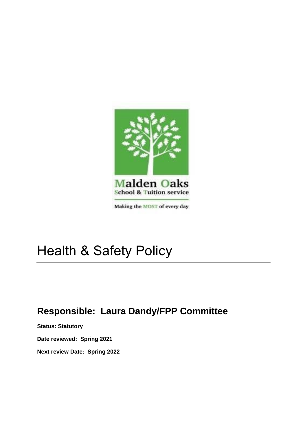

## Health & Safety Policy

## **Responsible: Laura Dandy/FPP Committee**

**Status: Statutory**

**Date reviewed: Spring 2021**

**Next review Date: Spring 2022**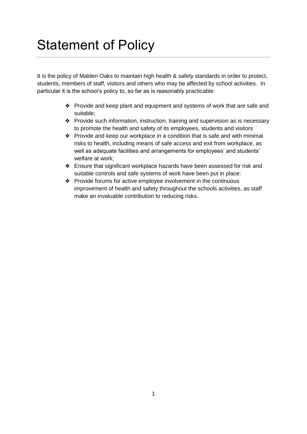## Statement of Policy

It is the policy of Malden Oaks to maintain high health & safety standards in order to protect, students, members of staff, visitors and others who may be affected by school activities. In particular it is the school's policy to, so far as is reasonably practicable:

- ❖ Provide and keep plant and equipment and systems of work that are safe and suitable;
- ❖ Provide such information, instruction, training and supervision as is necessary to promote the health and safety of its employees, students and visitors
- ❖ Provide and keep our workplace in a condition that is safe and with minimal risks to health, including means of safe access and exit from workplace, as well as adequate facilities and arrangements for employees' and students' welfare at work;
- ❖ Ensure that significant workplace hazards have been assessed for risk and suitable controls and safe systems of work have been put in place:
- ❖ Provide forums for active employee involvement in the continuous improvement of health and safety throughout the schools activities, as staff make an invaluable contribution to reducing risks.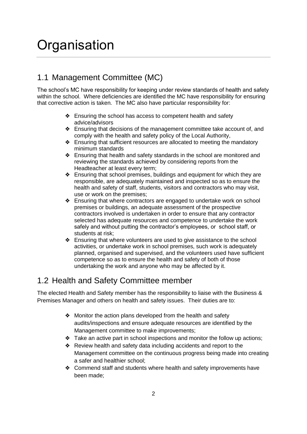## **Organisation**

### 1.1 Management Committee (MC)

The school's MC have responsibility for keeping under review standards of health and safety within the school. Where deficiencies are identified the MC have responsibility for ensuring that corrective action is taken. The MC also have particular responsibility for:

- ❖ Ensuring the school has access to competent health and safety advice/advisors
- ❖ Ensuring that decisions of the management committee take account of, and comply with the health and safety policy of the Local Authority,
- ❖ Ensuring that sufficient resources are allocated to meeting the mandatory minimum standards
- ❖ Ensuring that health and safety standards in the school are monitored and reviewing the standards achieved by considering reports from the Headteacher at least every term;
- ❖ Ensuring that school premises, buildings and equipment for which they are responsible, are adequately maintained and inspected so as to ensure the health and safety of staff, students, visitors and contractors who may visit, use or work on the premises;
- ❖ Ensuring that where contractors are engaged to undertake work on school premises or buildings, an adequate assessment of the prospective contractors involved is undertaken in order to ensure that any contractor selected has adequate resources and competence to undertake the work safely and without putting the contractor's employees, or school staff, or students at risk;
- ❖ Ensuring that where volunteers are used to give assistance to the school activities, or undertake work in school premises, such work is adequately planned, organised and supervised, and the volunteers used have sufficient competence so as to ensure the health and safety of both of those undertaking the work and anyone who may be affected by it.

### 1.2 Health and Safety Committee member

The elected Health and Safety member has the responsibility to liaise with the Business & Premises Manager and others on health and safety issues. Their duties are to:

- ❖ Monitor the action plans developed from the health and safety audits/inspections and ensure adequate resources are identified by the Management committee to make improvements;
- ❖ Take an active part in school inspections and monitor the follow up actions;
- ❖ Review health and safety data including accidents and report to the Management committee on the continuous progress being made into creating a safer and healthier school;
- ❖ Commend staff and students where health and safety improvements have been made;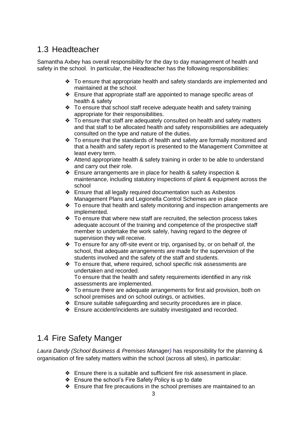### 1.3 Headteacher

Samantha Axbey has overall responsibility for the day to day management of health and safety in the school. In particular, the Headteacher has the following responsibilities:

- ❖ To ensure that appropriate health and safety standards are implemented and maintained at the school.
- ❖ Ensure that appropriate staff are appointed to manage specific areas of health & safety
- ❖ To ensure that school staff receive adequate health and safety training appropriate for their responsibilities.
- ❖ To ensure that staff are adequately consulted on health and safety matters and that staff to be allocated health and safety responsibilities are adequately consulted on the type and nature of the duties.
- ❖ To ensure that the standards of health and safety are formally monitored and that a health and safety report is presented to the Management Committee at least every term.
- ❖ Attend appropriate health & safety training in order to be able to understand and carry out their role.
- ❖ Ensure arrangements are in place for health & safety inspection & maintenance, including statutory inspections of plant & equipment across the school
- ❖ Ensure that all legally required documentation such as Asbestos Management Plans and Legionella Control Schemes are in place
- ❖ To ensure that health and safety monitoring and inspection arrangements are implemented.
- ❖ To ensure that where new staff are recruited, the selection process takes adequate account of the training and competence of the prospective staff member to undertake the work safely, having regard to the degree of supervision they will receive.
- ❖ To ensure for any off-site event or trip, organised by, or on behalf of, the school, that adequate arrangements are made for the supervision of the students involved and the safety of the staff and students.
- ❖ To ensure that, where required, school specific risk assessments are undertaken and recorded. To ensure that the health and safety requirements identified in any risk assessments are implemented.
- ❖ To ensure there are adequate arrangements for first aid provision, both on school premises and on school outings, or activities.
- ❖ Ensure suitable safeguarding and security procedures are in place.
- ❖ Ensure accident/incidents are suitably investigated and recorded.

### 1.4 Fire Safety Manger

*Laura Dandy (School Business & Premises Manager)* has responsibility for the planning & organisation of fire safety matters within the school (across all sites), in particular:

- ❖ Ensure there is a suitable and sufficient fire risk assessment in place.
- ❖ Ensure the school's Fire Safety Policy is up to date
- ❖ Ensure that fire precautions in the school premises are maintained to an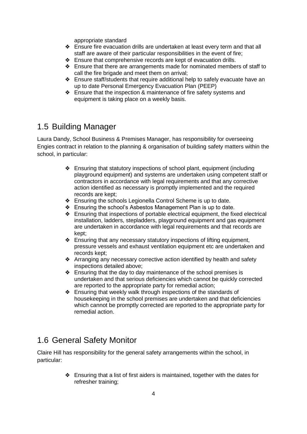appropriate standard

- ❖ Ensure fire evacuation drills are undertaken at least every term and that all staff are aware of their particular responsibilities in the event of fire;
- ❖ Ensure that comprehensive records are kept of evacuation drills.
- ❖ Ensure that there are arrangements made for nominated members of staff to call the fire brigade and meet them on arrival;
- ❖ Ensure staff/students that require additional help to safely evacuate have an up to date Personal Emergency Evacuation Plan (PEEP)
- ❖ Ensure that the inspection & maintenance of fire safety systems and equipment is taking place on a weekly basis.

### 1.5 Building Manager

Laura Dandy, School Business & Premises Manager, has responsibility for overseeing Engies contract in relation to the planning & organisation of building safety matters within the school, in particular:

- ❖ Ensuring that statutory inspections of school plant, equipment (including playground equipment) and systems are undertaken using competent staff or contractors in accordance with legal requirements and that any corrective action identified as necessary is promptly implemented and the required records are kept;
- ❖ Ensuring the schools Legionella Control Scheme is up to date.
- ❖ Ensuring the school's Asbestos Management Plan is up to date.
- ❖ Ensuring that inspections of portable electrical equipment, the fixed electrical installation, ladders, stepladders, playground equipment and gas equipment are undertaken in accordance with legal requirements and that records are kept;
- ❖ Ensuring that any necessary statutory inspections of lifting equipment, pressure vessels and exhaust ventilation equipment etc are undertaken and records kept;
- ❖ Arranging any necessary corrective action identified by health and safety inspections detailed above;
- ❖ Ensuring that the day to day maintenance of the school premises is undertaken and that serious deficiencies which cannot be quickly corrected are reported to the appropriate party for remedial action;
- ❖ Ensuring that weekly walk through inspections of the standards of housekeeping in the school premises are undertaken and that deficiencies which cannot be promptly corrected are reported to the appropriate party for remedial action.

### 1.6 General Safety Monitor

Claire Hill has responsibility for the general safety arrangements within the school, in particular:

> ❖ Ensuring that a list of first aiders is maintained, together with the dates for refresher training;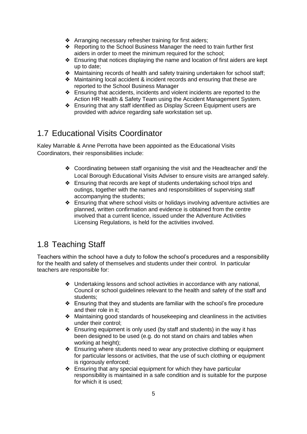- ❖ Arranging necessary refresher training for first aiders;
- ❖ Reporting to the School Business Manager the need to train further first aiders in order to meet the minimum required for the school;
- ❖ Ensuring that notices displaying the name and location of first aiders are kept up to date;
- ❖ Maintaining records of health and safety training undertaken for school staff;
- ❖ Maintaining local accident & incident records and ensuring that these are reported to the School Business Manager
- ❖ Ensuring that accidents, incidents and violent incidents are reported to the Action HR Health & Safety Team using the Accident Management System.
- ❖ Ensuring that any staff identified as Display Screen Equipment users are provided with advice regarding safe workstation set up.

### 1.7 Educational Visits Coordinator

Kaley Marrable & Anne Perrotta have been appointed as the Educational Visits Coordinators, their responsibilities include:

- ❖ Coordinating between staff organising the visit and the Headteacher and/ the Local Borough Educational Visits Adviser to ensure visits are arranged safely.
- ❖ Ensuring that records are kept of students undertaking school trips and outings, together with the names and responsibilities of supervising staff accompanying the students;
- ❖ Ensuring that where school visits or holidays involving adventure activities are planned, written confirmation and evidence is obtained from the centre involved that a current licence, issued under the Adventure Activities Licensing Regulations, is held for the activities involved.

### 1.8 Teaching Staff

Teachers within the school have a duty to follow the school's procedures and a responsibility for the health and safety of themselves and students under their control. In particular teachers are responsible for:

- ❖ Undertaking lessons and school activities in accordance with any national, Council or school guidelines relevant to the health and safety of the staff and students;
- ❖ Ensuring that they and students are familiar with the school's fire procedure and their role in it;
- ❖ Maintaining good standards of housekeeping and cleanliness in the activities under their control;
- ❖ Ensuring equipment is only used (by staff and students) in the way it has been designed to be used (e.g. do not stand on chairs and tables when working at height);
- ❖ Ensuring where students need to wear any protective clothing or equipment for particular lessons or activities, that the use of such clothing or equipment is rigorously enforced;
- ❖ Ensuring that any special equipment for which they have particular responsibility is maintained in a safe condition and is suitable for the purpose for which it is used;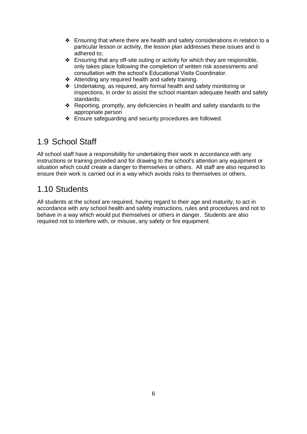- ❖ Ensuring that where there are health and safety considerations in relation to a particular lesson or activity, the lesson plan addresses these issues and is adhered to;
- ❖ Ensuring that any off-site outing or activity for which they are responsible, only takes place following the completion of written risk assessments and consultation with the school's Educational Visits Coordinator.
- ❖ Attending any required health and safety training.
- ❖ Undertaking, as required, any formal health and safety monitoring or inspections, in order to assist the school maintain adequate health and safety standards;
- ❖ Reporting, promptly, any deficiencies in health and safety standards to the appropriate person
- ❖ Ensure safeguarding and security procedures are followed.

### 1.9 School Staff

All school staff have a responsibility for undertaking their work in accordance with any instructions or training provided and for drawing to the school's attention any equipment or situation which could create a danger to themselves or others. All staff are also required to ensure their work is carried out in a way which avoids risks to themselves or others.

### 1.10 Students

All students at the school are required, having regard to their age and maturity, to act in accordance with any school health and safety instructions, rules and procedures and not to behave in a way which would put themselves or others in danger. Students are also required not to interfere with, or misuse, any safety or fire equipment.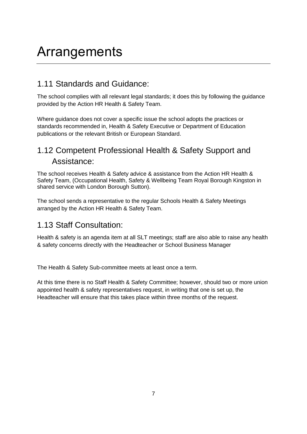# Arrangements

### 1.11 Standards and Guidance:

The school complies with all relevant legal standards; it does this by following the guidance provided by the Action HR Health & Safety Team.

Where guidance does not cover a specific issue the school adopts the practices or standards recommended in, Health & Safety Executive or Department of Education publications or the relevant British or European Standard.

### 1.12 Competent Professional Health & Safety Support and Assistance:

The school receives Health & Safety advice & assistance from the Action HR Health & Safety Team, (Occupational Health, Safety & Wellbeing Team Royal Borough Kingston in shared service with London Borough Sutton).

The school sends a representative to the regular Schools Health & Safety Meetings arranged by the Action HR Health & Safety Team.

### 1.13 Staff Consultation:

Health & safety is an agenda item at all SLT meetings; staff are also able to raise any health & safety concerns directly with the Headteacher or School Business Manager

The Health & Safety Sub-committee meets at least once a term.

At this time there is no Staff Health & Safety Committee; however, should two or more union appointed health & safety representatives request, in writing that one is set up, the Headteacher will ensure that this takes place within three months of the request.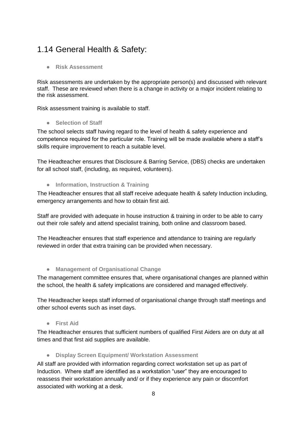### 1.14 General Health & Safety:

● **Risk Assessment** 

Risk assessments are undertaken by the appropriate person(s) and discussed with relevant staff. These are reviewed when there is a change in activity or a major incident relating to the risk assessment.

Risk assessment training is available to staff.

#### ● **Selection of Staff**

The school selects staff having regard to the level of health & safety experience and competence required for the particular role. Training will be made available where a staff's skills require improvement to reach a suitable level.

The Headteacher ensures that Disclosure & Barring Service, (DBS) checks are undertaken for all school staff, (including, as required, volunteers).

#### ● **Information, Instruction & Training**

The Headteacher ensures that all staff receive adequate health & safety Induction including, emergency arrangements and how to obtain first aid.

Staff are provided with adequate in house instruction & training in order to be able to carry out their role safely and attend specialist training, both online and classroom based.

The Headteacher ensures that staff experience and attendance to training are regularly reviewed in order that extra training can be provided when necessary.

#### ● **Management of Organisational Change**

The management committee ensures that, where organisational changes are planned within the school, the health & safety implications are considered and managed effectively.

The Headteacher keeps staff informed of organisational change through staff meetings and other school events such as inset days.

#### ● **First Aid**

The Headteacher ensures that sufficient numbers of qualified First Aiders are on duty at all times and that first aid supplies are available.

#### ● **Display Screen Equipment/ Workstation Assessment**

All staff are provided with information regarding correct workstation set up as part of Induction. Where staff are identified as a workstation "user" they are encouraged to reassess their workstation annually and/ or if they experience any pain or discomfort associated with working at a desk.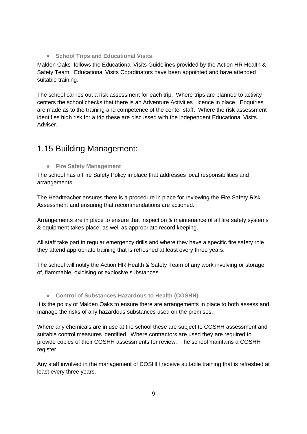● **School Trips and Educational Visits**

Malden Oaks follows the Educational Visits Guidelines provided by the Action HR Health & Safety Team. Educational Visits Coordinators have been appointed and have attended suitable training.

The school carries out a risk assessment for each trip. Where trips are planned to activity centers the school checks that there is an Adventure Activities Licence in place. Enquiries are made as to the training and competence of the center staff. Where the risk assessment identifies high risk for a trip these are discussed with the independent Educational Visits Adviser.

### 1.15 Building Management:

● **Fire Safety Management**

The school has a Fire Safety Policy in place that addresses local responsibilities and arrangements.

The Headteacher ensures there is a procedure in place for reviewing the Fire Safety Risk Assessment and ensuring that recommendations are actioned.

Arrangements are in place to ensure that inspection & maintenance of all fire safety systems & equipment takes place; as well as appropriate record keeping.

All staff take part in regular emergency drills and where they have a specific fire safety role they attend appropriate training that is refreshed at least every three years.

The school will notify the Action HR Health & Safety Team of any work involving or storage of, flammable, oxidising or explosive substances.

#### ● **Control of Substances Hazardous to Health (COSHH)**

It is the policy of Malden Oaks to ensure there are arrangements in place to both assess and manage the risks of any hazardous substances used on the premises.

Where any chemicals are in use at the school these are subject to COSHH assessment and suitable control measures identified. Where contractors are used they are required to provide copies of their COSHH assessments for review. The school maintains a COSHH register.

Any staff involved in the management of COSHH receive suitable training that is refreshed at least every three years.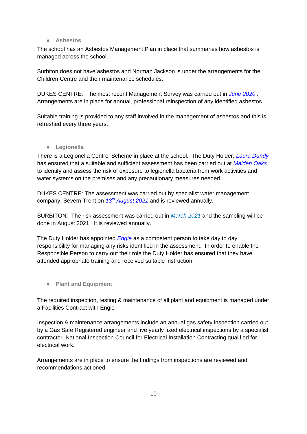#### ● **Asbestos**

The school has an Asbestos Management Plan in place that summaries how asbestos is managed across the school.

Surbiton does not have asbestos and Norman Jackson is under the arrangements for the Children Centre and their maintenance schedules.

DUKES CENTRE: The most recent Management Survey was carried out in *June 2020* . Arrangements are in place for annual, professional reinspection of any identified asbestos.

Suitable training is provided to any staff involved in the management of asbestos and this is refreshed every three years.

● **Legionella**

There is a Legionella Control Scheme in place at the school. The Duty Holder, *Laura Dandy*  has ensured that a suitable and sufficient assessment has been carried out at *Malden Oaks*  to identify and assess the risk of exposure to legionella bacteria from work activities and water systems on the premises and any precautionary measures needed.

DUKES CENTRE: The assessment was carried out by specialist water management company, Severn Trent on *13th August 2021* and is reviewed annually.

SURBITON: The risk assessment was carried out in *March 2021* and the sampling will be done in August 2021. It is reviewed annually.

The Duty Holder has appointed *Engie* as a competent person to take day to day responsibility for managing any risks identified in the assessment. In order to enable the Responsible Person to carry out their role the Duty Holder has ensured that they have attended appropriate training and received suitable instruction.

● **Plant and Equipment**

The required inspection, testing & maintenance of all plant and equipment is managed under a Facilities Contract with Engie

Inspection & maintenance arrangements include an annual gas safety inspection carried out by a Gas Safe Registered engineer and five yearly fixed electrical inspections by a specialist contractor, National Inspection Council for Electrical Installation Contracting qualified for electrical work.

Arrangements are in place to ensure the findings from inspections are reviewed and recommendations actioned.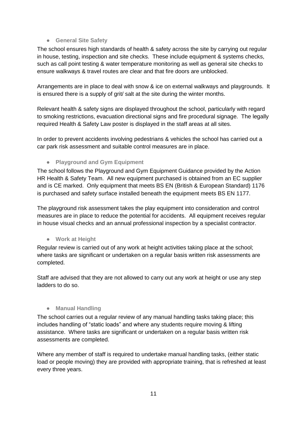#### ● **General Site Safety**

The school ensures high standards of health & safety across the site by carrying out regular in house, testing, inspection and site checks. These include equipment & systems checks, such as call point testing & water temperature monitoring as well as general site checks to ensure walkways & travel routes are clear and that fire doors are unblocked.

Arrangements are in place to deal with snow & ice on external walkways and playgrounds. It is ensured there is a supply of grit/ salt at the site during the winter months.

Relevant health & safety signs are displayed throughout the school, particularly with regard to smoking restrictions, evacuation directional signs and fire procedural signage. The legally required Health & Safety Law poster is displayed in the staff areas at all sites.

In order to prevent accidents involving pedestrians & vehicles the school has carried out a car park risk assessment and suitable control measures are in place.

#### ● **Playground and Gym Equipment**

The school follows the Playground and Gym Equipment Guidance provided by the Action HR Health & Safety Team. All new equipment purchased is obtained from an EC supplier and is CE marked. Only equipment that meets BS EN (British & European Standard) 1176 is purchased and safety surface installed beneath the equipment meets BS EN 1177.

The playground risk assessment takes the play equipment into consideration and control measures are in place to reduce the potential for accidents. All equipment receives regular in house visual checks and an annual professional inspection by a specialist contractor.

● **Work at Height**

Regular review is carried out of any work at height activities taking place at the school; where tasks are significant or undertaken on a regular basis written risk assessments are completed.

Staff are advised that they are not allowed to carry out any work at height or use any step ladders to do so.

#### ● **Manual Handling**

The school carries out a regular review of any manual handling tasks taking place; this includes handling of "static loads" and where any students require moving & lifting assistance. Where tasks are significant or undertaken on a regular basis written risk assessments are completed.

Where any member of staff is required to undertake manual handling tasks, (either static load or people moving) they are provided with appropriate training, that is refreshed at least every three years.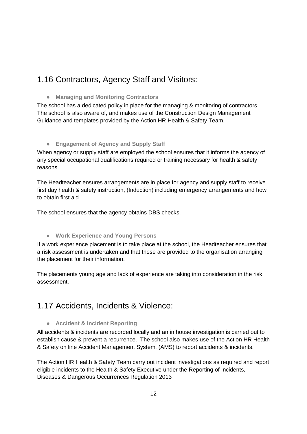### 1.16 Contractors, Agency Staff and Visitors:

● **Managing and Monitoring Contractors**

The school has a dedicated policy in place for the managing & monitoring of contractors. The school is also aware of, and makes use of the Construction Design Management Guidance and templates provided by the Action HR Health & Safety Team.

#### ● **Engagement of Agency and Supply Staff**

When agency or supply staff are employed the school ensures that it informs the agency of any special occupational qualifications required or training necessary for health & safety reasons.

The Headteacher ensures arrangements are in place for agency and supply staff to receive first day health & safety instruction, (Induction) including emergency arrangements and how to obtain first aid.

The school ensures that the agency obtains DBS checks.

#### ● **Work Experience and Young Persons**

If a work experience placement is to take place at the school, the Headteacher ensures that a risk assessment is undertaken and that these are provided to the organisation arranging the placement for their information.

The placements young age and lack of experience are taking into consideration in the risk assessment.

### 1.17 Accidents, Incidents & Violence:

### ● **Accident & Incident Reporting**

All accidents & incidents are recorded locally and an in house investigation is carried out to establish cause & prevent a recurrence. The school also makes use of the Action HR Health & Safety on line Accident Management System, (AMS) to report accidents & incidents.

The Action HR Health & Safety Team carry out incident investigations as required and report eligible incidents to the Health & Safety Executive under the Reporting of Incidents, Diseases & Dangerous Occurrences Regulation 2013